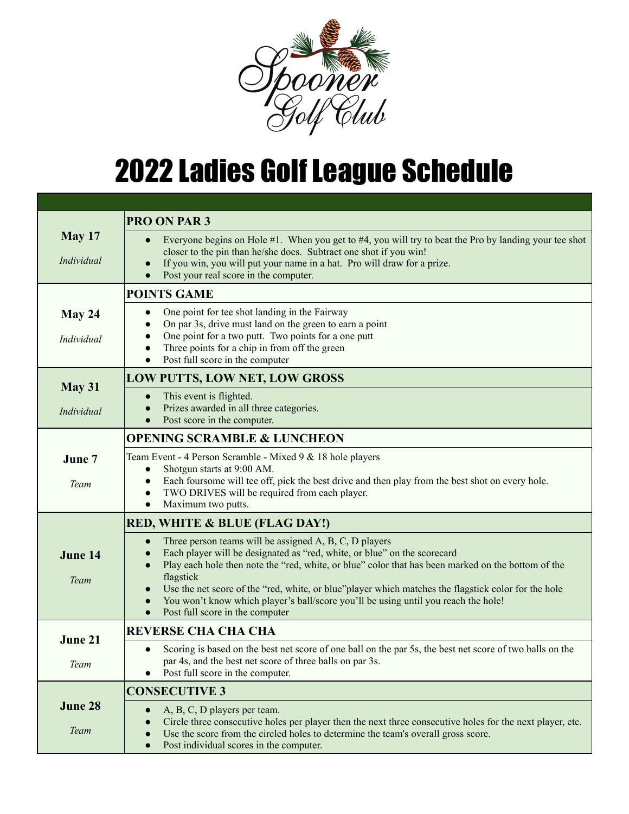

## **2022 Ladies Golf League Schedule**

| <b>May 17</b><br>Individual | <b>PRO ON PAR 3</b>                                                                                                                                                                                                                                                                                                                                                                                                                                                                   |
|-----------------------------|---------------------------------------------------------------------------------------------------------------------------------------------------------------------------------------------------------------------------------------------------------------------------------------------------------------------------------------------------------------------------------------------------------------------------------------------------------------------------------------|
|                             | Everyone begins on Hole #1. When you get to #4, you will try to beat the Pro by landing your tee shot<br>$\bullet$<br>closer to the pin than he/she does. Subtract one shot if you win!<br>If you win, you will put your name in a hat. Pro will draw for a prize.                                                                                                                                                                                                                    |
|                             | Post your real score in the computer.<br><b>POINTS GAME</b>                                                                                                                                                                                                                                                                                                                                                                                                                           |
| May 24<br>Individual        | One point for tee shot landing in the Fairway<br>$\bullet$<br>On par 3s, drive must land on the green to earn a point<br>One point for a two putt. Two points for a one putt<br>Three points for a chip in from off the green<br>Post full score in the computer<br>$\bullet$                                                                                                                                                                                                         |
| May 31<br>Individual        | <b>LOW PUTTS, LOW NET, LOW GROSS</b>                                                                                                                                                                                                                                                                                                                                                                                                                                                  |
|                             | This event is flighted.<br>$\bullet$<br>Prizes awarded in all three categories.<br>$\bullet$<br>Post score in the computer.<br>$\bullet$                                                                                                                                                                                                                                                                                                                                              |
|                             | <b>OPENING SCRAMBLE &amp; LUNCHEON</b>                                                                                                                                                                                                                                                                                                                                                                                                                                                |
| June 7<br>Team              | Team Event - 4 Person Scramble - Mixed 9 & 18 hole players<br>Shotgun starts at 9:00 AM.<br>$\bullet$<br>Each foursome will tee off, pick the best drive and then play from the best shot on every hole.<br>TWO DRIVES will be required from each player.<br>$\bullet$<br>Maximum two putts.<br>$\bullet$                                                                                                                                                                             |
| June 14<br>Team             | <b>RED, WHITE &amp; BLUE (FLAG DAY!)</b>                                                                                                                                                                                                                                                                                                                                                                                                                                              |
|                             | Three person teams will be assigned A, B, C, D players<br>Each player will be designated as "red, white, or blue" on the scorecard<br>Play each hole then note the "red, white, or blue" color that has been marked on the bottom of the<br>flagstick<br>Use the net score of the "red, white, or blue"player which matches the flagstick color for the hole<br>You won't know which player's ball/score you'll be using until you reach the hole!<br>Post full score in the computer |
| June 21<br>Team             | <b>REVERSE CHA CHA CHA</b>                                                                                                                                                                                                                                                                                                                                                                                                                                                            |
|                             | Scoring is based on the best net score of one ball on the par 5s, the best net score of two balls on the<br>$\bullet$<br>par 4s, and the best net score of three balls on par 3s.<br>Post full score in the computer.                                                                                                                                                                                                                                                                 |
| June 28<br>Team             | <b>CONSECUTIVE 3</b>                                                                                                                                                                                                                                                                                                                                                                                                                                                                  |
|                             | A, B, C, D players per team.<br>$\bullet$<br>Circle three consecutive holes per player then the next three consecutive holes for the next player, etc.<br>$\bullet$<br>Use the score from the circled holes to determine the team's overall gross score.<br>Post individual scores in the computer.<br>$\bullet$                                                                                                                                                                      |